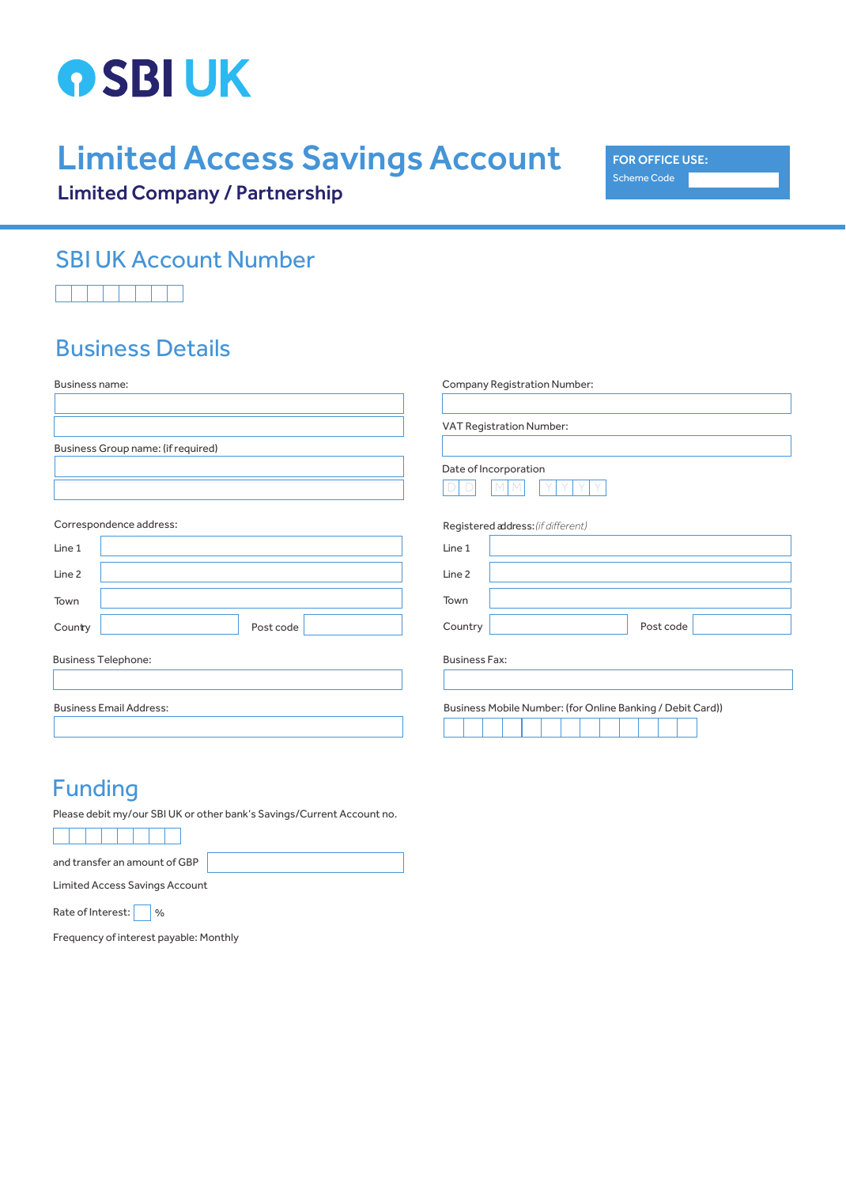

# Limited Access Savings Account

FOR OFFICE USE: Scheme Code

Limited Company / Partnership

## SBI UK Account Number

### Business Details

| Business name:                     |           | Company Registration Number:                               |
|------------------------------------|-----------|------------------------------------------------------------|
|                                    |           | VAT Registration Number:                                   |
| Business Group name: (if required) |           |                                                            |
|                                    |           | Date of Incorporation                                      |
| Correspondence address:            |           | Registered address: (if different)                         |
| Line 1                             |           | Line 1                                                     |
| Line <sub>2</sub>                  |           | Line 2                                                     |
| Town                               |           | Town                                                       |
| Country                            | Post code | Country<br>Post code                                       |
| <b>Business Telephone:</b>         |           | <b>Business Fax:</b>                                       |
| <b>Business Email Address:</b>     |           | Business Mobile Number: (for Online Banking / Debit Card)) |

#### Funding

Please debit my/our SBI UK or other bank's Savings/Current Account no.

and transfer an amount of GBP

Limited Access Savings Account

Rate of Interest: \| %

Frequency of interest payable: Monthly